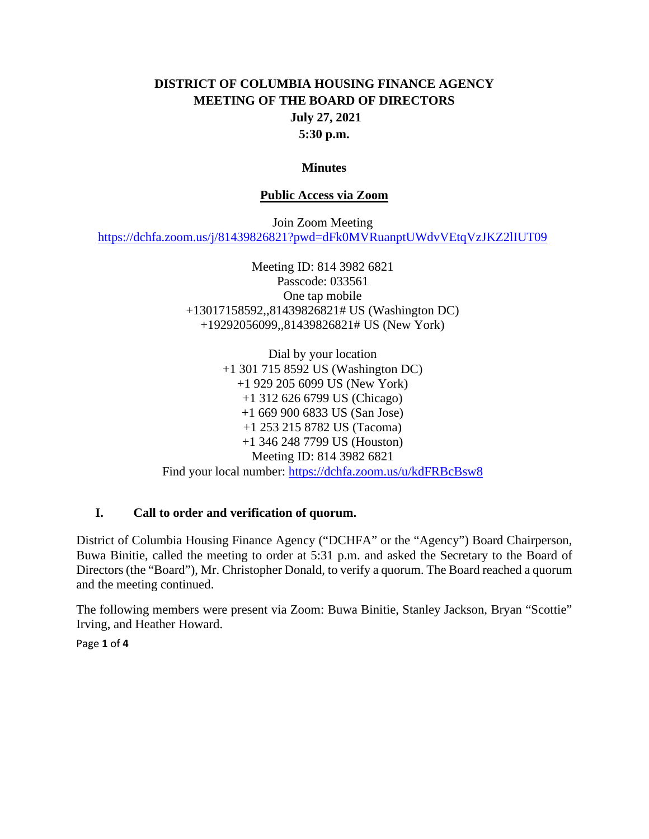# **DISTRICT OF COLUMBIA HOUSING FINANCE AGENCY MEETING OF THE BOARD OF DIRECTORS July 27, 2021 5:30 p.m.**

#### **Minutes**

#### **Public Access via Zoom**

Join Zoom Meeting <https://dchfa.zoom.us/j/81439826821?pwd=dFk0MVRuanptUWdvVEtqVzJKZ2lIUT09>

> Meeting ID: 814 3982 6821 Passcode: 033561 One tap mobile +13017158592,,81439826821# US (Washington DC) +19292056099,,81439826821# US (New York)

Dial by your location +1 301 715 8592 US (Washington DC) +1 929 205 6099 US (New York) +1 312 626 6799 US (Chicago) +1 669 900 6833 US (San Jose) +1 253 215 8782 US (Tacoma) +1 346 248 7799 US (Houston) Meeting ID: 814 3982 6821 Find your local number: <https://dchfa.zoom.us/u/kdFRBcBsw8>

#### **I. Call to order and verification of quorum.**

District of Columbia Housing Finance Agency ("DCHFA" or the "Agency") Board Chairperson, Buwa Binitie, called the meeting to order at 5:31 p.m. and asked the Secretary to the Board of Directors (the "Board"), Mr. Christopher Donald, to verify a quorum. The Board reached a quorum and the meeting continued.

The following members were present via Zoom: Buwa Binitie, Stanley Jackson, Bryan "Scottie" Irving, and Heather Howard.

Page **1** of **4**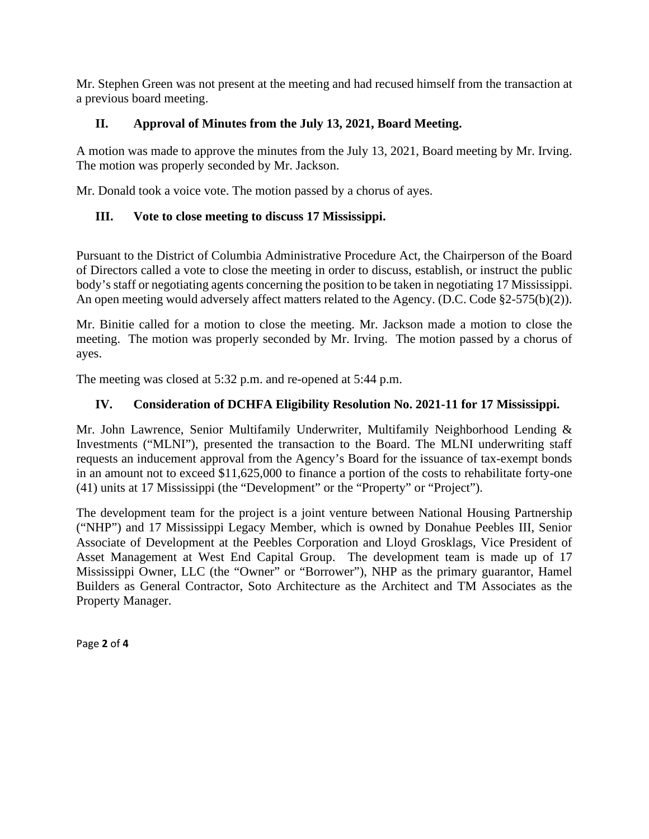Mr. Stephen Green was not present at the meeting and had recused himself from the transaction at a previous board meeting.

## **II. Approval of Minutes from the July 13, 2021, Board Meeting.**

A motion was made to approve the minutes from the July 13, 2021, Board meeting by Mr. Irving. The motion was properly seconded by Mr. Jackson.

Mr. Donald took a voice vote. The motion passed by a chorus of ayes.

## **III. Vote to close meeting to discuss 17 Mississippi.**

Pursuant to the District of Columbia Administrative Procedure Act, the Chairperson of the Board of Directors called a vote to close the meeting in order to discuss, establish, or instruct the public body's staff or negotiating agents concerning the position to be taken in negotiating 17 Mississippi. An open meeting would adversely affect matters related to the Agency. (D.C. Code §2-575(b)(2)).

Mr. Binitie called for a motion to close the meeting. Mr. Jackson made a motion to close the meeting. The motion was properly seconded by Mr. Irving. The motion passed by a chorus of ayes.

The meeting was closed at 5:32 p.m. and re-opened at 5:44 p.m.

### **IV. Consideration of DCHFA Eligibility Resolution No. 2021-11 for 17 Mississippi.**

Mr. John Lawrence, Senior Multifamily Underwriter, Multifamily Neighborhood Lending & Investments ("MLNI"), presented the transaction to the Board. The MLNI underwriting staff requests an inducement approval from the Agency's Board for the issuance of tax-exempt bonds in an amount not to exceed \$11,625,000 to finance a portion of the costs to rehabilitate forty-one (41) units at 17 Mississippi (the "Development" or the "Property" or "Project").

The development team for the project is a joint venture between National Housing Partnership ("NHP") and 17 Mississippi Legacy Member, which is owned by Donahue Peebles III, Senior Associate of Development at the Peebles Corporation and Lloyd Grosklags, Vice President of Asset Management at West End Capital Group. The development team is made up of 17 Mississippi Owner, LLC (the "Owner" or "Borrower"), NHP as the primary guarantor, Hamel Builders as General Contractor, Soto Architecture as the Architect and TM Associates as the Property Manager.

Page **2** of **4**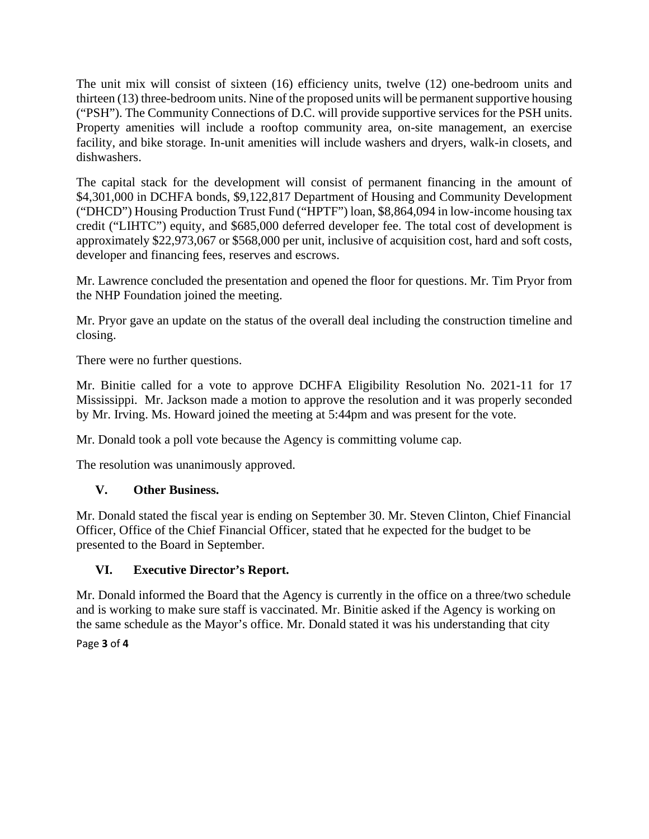The unit mix will consist of sixteen (16) efficiency units, twelve (12) one-bedroom units and thirteen (13) three-bedroom units. Nine of the proposed units will be permanent supportive housing ("PSH"). The Community Connections of D.C. will provide supportive services for the PSH units. Property amenities will include a rooftop community area, on-site management, an exercise facility, and bike storage. In-unit amenities will include washers and dryers, walk-in closets, and dishwashers.

The capital stack for the development will consist of permanent financing in the amount of \$4,301,000 in DCHFA bonds, \$9,122,817 Department of Housing and Community Development ("DHCD") Housing Production Trust Fund ("HPTF") loan, \$8,864,094 in low-income housing tax credit ("LIHTC") equity, and \$685,000 deferred developer fee. The total cost of development is approximately \$22,973,067 or \$568,000 per unit, inclusive of acquisition cost, hard and soft costs, developer and financing fees, reserves and escrows.

Mr. Lawrence concluded the presentation and opened the floor for questions. Mr. Tim Pryor from the NHP Foundation joined the meeting.

Mr. Pryor gave an update on the status of the overall deal including the construction timeline and closing.

There were no further questions.

Mr. Binitie called for a vote to approve DCHFA Eligibility Resolution No. 2021-11 for 17 Mississippi. Mr. Jackson made a motion to approve the resolution and it was properly seconded by Mr. Irving. Ms. Howard joined the meeting at 5:44pm and was present for the vote.

Mr. Donald took a poll vote because the Agency is committing volume cap.

The resolution was unanimously approved.

### **V. Other Business.**

Mr. Donald stated the fiscal year is ending on September 30. Mr. Steven Clinton, Chief Financial Officer, Office of the Chief Financial Officer, stated that he expected for the budget to be presented to the Board in September.

### **VI. Executive Director's Report.**

Mr. Donald informed the Board that the Agency is currently in the office on a three/two schedule and is working to make sure staff is vaccinated. Mr. Binitie asked if the Agency is working on the same schedule as the Mayor's office. Mr. Donald stated it was his understanding that city

Page **3** of **4**